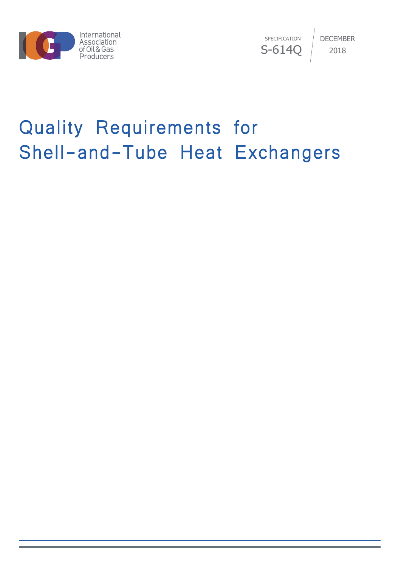

SPECIFICATION S-614Q DECEMBER 2018

# Quality Requirements for Shell-and-Tube Heat Exchangers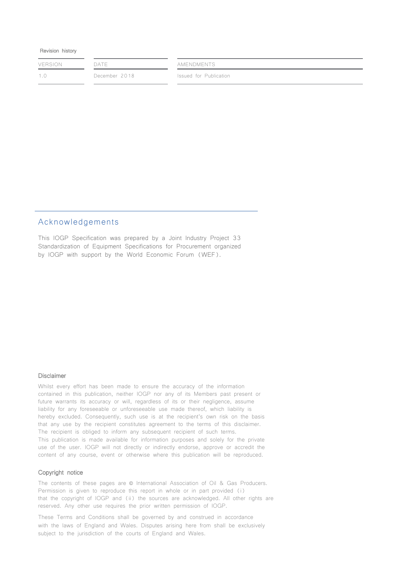#### Revision history

| <b>VERSION</b> | DATE          | AMENDMENTS             |  |  |
|----------------|---------------|------------------------|--|--|
| 1.0            | December 2018 | Issued for Publication |  |  |
|                |               |                        |  |  |

### Acknowledgements

This IOGP Specification was prepared by a Joint Industry Project 33 Standardization of Equipment Specifications for Procurement organized by IOGP with support by the World Economic Forum (WEF).

#### Disclaimer

Whilst every effort has been made to ensure the accuracy of the information contained in this publication, neither IOGP nor any of its Members past present or future warrants its accuracy or will, regardless of its or their negligence, assume liability for any foreseeable or unforeseeable use made thereof, which liability is hereby excluded. Consequently, such use is at the recipient's own risk on the basis that any use by the recipient constitutes agreement to the terms of this disclaimer. The recipient is obliged to inform any subsequent recipient of such terms. This publication is made available for information purposes and solely for the private use of the user. IOGP will not directly or indirectly endorse, approve or accredit the content of any course, event or otherwise where this publication will be reproduced.

#### Copyright notice

The contents of these pages are © International Association of Oil & Gas Producers. Permission is given to reproduce this report in whole or in part provided (i) that the copyright of IOGP and (ii) the sources are acknowledged. All other rights are reserved. Any other use requires the prior written permission of IOGP.

These Terms and Conditions shall be governed by and construed in accordance with the laws of England and Wales. Disputes arising here from shall be exclusively subject to the jurisdiction of the courts of England and Wales.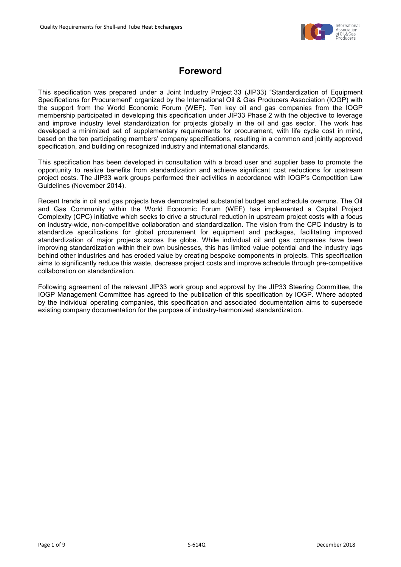

# **Foreword**

<span id="page-2-0"></span>This specification was prepared under a Joint Industry Project 33 (JIP33) "Standardization of Equipment Specifications for Procurement" organized by the International Oil & Gas Producers Association (IOGP) with the support from the World Economic Forum (WEF). Ten key oil and gas companies from the IOGP membership participated in developing this specification under JIP33 Phase 2 with the objective to leverage and improve industry level standardization for projects globally in the oil and gas sector. The work has developed a minimized set of supplementary requirements for procurement, with life cycle cost in mind, based on the ten participating members' company specifications, resulting in a common and jointly approved specification, and building on recognized industry and international standards.

This specification has been developed in consultation with a broad user and supplier base to promote the opportunity to realize benefits from standardization and achieve significant cost reductions for upstream project costs. The JIP33 work groups performed their activities in accordance with IOGP's Competition Law Guidelines (November 2014).

Recent trends in oil and gas projects have demonstrated substantial budget and schedule overruns. The Oil and Gas Community within the World Economic Forum (WEF) has implemented a Capital Project Complexity (CPC) initiative which seeks to drive a structural reduction in upstream project costs with a focus on industry-wide, non-competitive collaboration and standardization. The vision from the CPC industry is to standardize specifications for global procurement for equipment and packages, facilitating improved standardization of major projects across the globe. While individual oil and gas companies have been improving standardization within their own businesses, this has limited value potential and the industry lags behind other industries and has eroded value by creating bespoke components in projects. This specification aims to significantly reduce this waste, decrease project costs and improve schedule through pre-competitive collaboration on standardization.

Following agreement of the relevant JIP33 work group and approval by the JIP33 Steering Committee, the IOGP Management Committee has agreed to the publication of this specification by IOGP. Where adopted by the individual operating companies, this specification and associated documentation aims to supersede existing company documentation for the purpose of industry-harmonized standardization.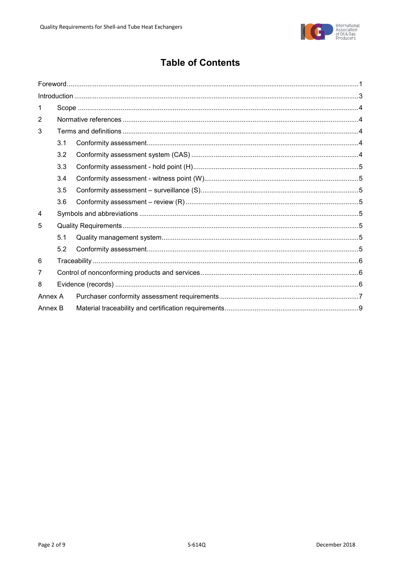

# **Table of Contents**

| 1       |     |  |
|---------|-----|--|
| 2       |     |  |
| 3       |     |  |
|         | 3.1 |  |
|         | 3.2 |  |
|         | 3.3 |  |
|         | 3.4 |  |
|         | 3.5 |  |
|         | 3.6 |  |
| 4       |     |  |
| 5       |     |  |
|         | 5.1 |  |
|         | 5.2 |  |
| 6       |     |  |
| 7       |     |  |
| 8       |     |  |
| Annex A |     |  |
| Annex B |     |  |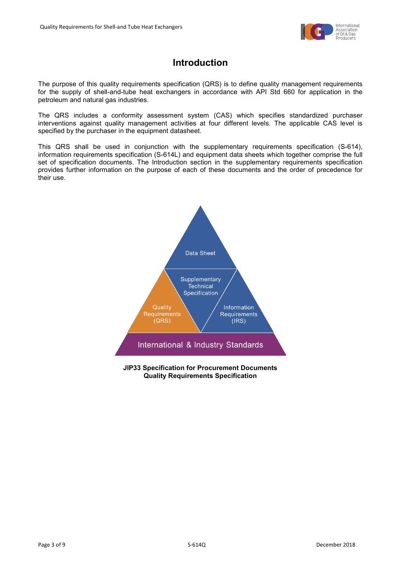

# **Introduction**

<span id="page-4-0"></span>The purpose of this quality requirements specification (QRS) is to define quality management requirements for the supply of shell-and-tube heat exchangers in accordance with API Std 660 for application in the petroleum and natural gas industries.

The QRS includes a conformity assessment system (CAS) which specifies standardized purchaser interventions against quality management activities at four different levels. The applicable CAS level is specified by the purchaser in the equipment datasheet.

This QRS shall be used in conjunction with the supplementary requirements specification (S-614), information requirements specification (S-614L) and equipment data sheets which together comprise the full set of specification documents. The Introduction section in the supplementary requirements specification provides further information on the purpose of each of these documents and the order of precedence for their use.



**JIP33 Specification for Procurement Documents Quality Requirements Specification**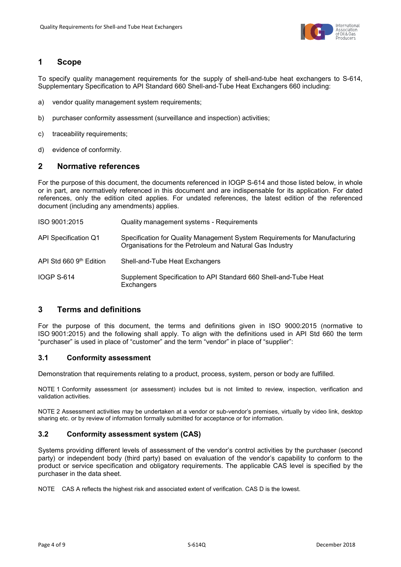

## <span id="page-5-0"></span>**1 Scope**

To specify quality management requirements for the supply of shell-and-tube heat exchangers to S-614, Supplementary Specification to API Standard 660 Shell-and-Tube Heat Exchangers 660 including:

- a) vendor quality management system requirements;
- b) purchaser conformity assessment (surveillance and inspection) activities;
- c) traceability requirements;
- d) evidence of conformity.

## <span id="page-5-1"></span>**2 Normative references**

For the purpose of this document, the documents referenced in IOGP S-614 and those listed below, in whole or in part, are normatively referenced in this document and are indispensable for its application. For dated references, only the edition cited applies. For undated references, the latest edition of the referenced document (including any amendments) applies.

| ISO 9001:2015           | Quality management systems - Requirements                                                                                              |
|-------------------------|----------------------------------------------------------------------------------------------------------------------------------------|
| API Specification Q1    | Specification for Quality Management System Requirements for Manufacturing<br>Organisations for the Petroleum and Natural Gas Industry |
| API Std 660 9th Edition | Shell-and-Tube Heat Exchangers                                                                                                         |
| <b>IOGP S-614</b>       | Supplement Specification to API Standard 660 Shell-and-Tube Heat<br>Exchangers                                                         |

## <span id="page-5-2"></span>**3 Terms and definitions**

For the purpose of this document, the terms and definitions given in ISO 9000:2015 (normative to ISO 9001:2015) and the following shall apply. To align with the definitions used in API Std 660 the term "purchaser" is used in place of "customer" and the term "vendor" in place of "supplier":

#### <span id="page-5-3"></span>**3.1 Conformity assessment**

Demonstration that requirements relating to a product, process, system, person or body are fulfilled.

NOTE 1 Conformity assessment (or assessment) includes but is not limited to review, inspection, verification and validation activities.

NOTE 2 Assessment activities may be undertaken at a vendor or sub-vendor's premises, virtually by video link, desktop sharing etc. or by review of information formally submitted for acceptance or for information.

#### <span id="page-5-4"></span>**3.2 Conformity assessment system (CAS)**

Systems providing different levels of assessment of the vendor's control activities by the purchaser (second party) or independent body (third party) based on evaluation of the vendor's capability to conform to the product or service specification and obligatory requirements. The applicable CAS level is specified by the purchaser in the data sheet.

NOTE CAS A reflects the highest risk and associated extent of verification. CAS D is the lowest.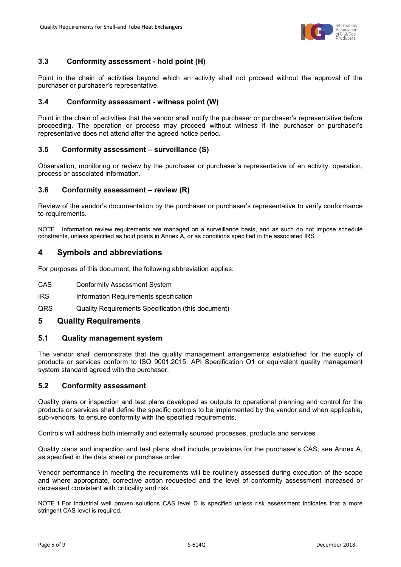

# <span id="page-6-0"></span>**3.3 Conformity assessment - hold point (H)**

Point in the chain of activities beyond which an activity shall not proceed without the approval of the purchaser or purchaser's representative.

#### <span id="page-6-1"></span>**3.4 Conformity assessment - witness point (W)**

Point in the chain of activities that the vendor shall notify the purchaser or purchaser's representative before proceeding. The operation or process may proceed without witness if the purchaser or purchaser's representative does not attend after the agreed notice period.

## <span id="page-6-2"></span>**3.5 Conformity assessment – surveillance (S)**

Observation, monitoring or review by the purchaser or purchaser's representative of an activity, operation, process or associated information.

#### <span id="page-6-3"></span>**3.6 Conformity assessment – review (R)**

Review of the vendor's documentation by the purchaser or purchaser's representative to verify conformance to requirements.

NOTE Information review requirements are managed on a surveillance basis, and as such do not impose schedule constraints, unless specified as hold points in Annex A, or as conditions specified in the associated IRS

# <span id="page-6-4"></span>**4 Symbols and abbreviations**

For purposes of this document, the following abbreviation applies:

- CAS Conformity Assessment System
- IRS Information Requirements specification
- QRS Quality Requirements Specification (this document)

#### <span id="page-6-5"></span>**5 Quality Requirements**

#### <span id="page-6-6"></span>**5.1 Quality management system**

The vendor shall demonstrate that the quality management arrangements established for the supply of products or services conform to ISO 9001:2015, API Specification Q1 or equivalent quality management system standard agreed with the purchaser.

#### <span id="page-6-7"></span>**5.2 Conformity assessment**

Quality plans or inspection and test plans developed as outputs to operational planning and control for the products or services shall define the specific controls to be implemented by the vendor and when applicable, sub-vendors, to ensure conformity with the specified requirements.

Controls will address both internally and externally sourced processes, products and services

Quality plans and inspection and test plans shall include provisions for the purchaser's CAS; see Annex A, as specified in the data sheet or purchase order.

Vendor performance in meeting the requirements will be routinely assessed during execution of the scope and where appropriate, corrective action requested and the level of conformity assessment increased or decreased consistent with criticality and risk.

NOTE 1 For industrial well proven solutions CAS level D is specified unless risk assessment indicates that a more stringent CAS-level is required.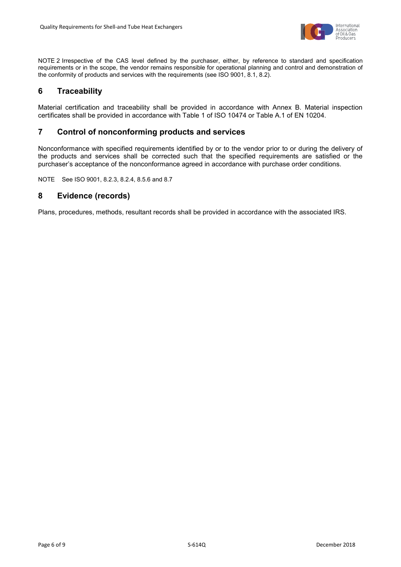

NOTE 2 Irrespective of the CAS level defined by the purchaser, either, by reference to standard and specification requirements or in the scope, the vendor remains responsible for operational planning and control and demonstration of the conformity of products and services with the requirements (see ISO 9001, 8.1, 8.2).

# <span id="page-7-0"></span>**6 Traceability**

Material certification and traceability shall be provided in accordance with Annex B. Material inspection certificates shall be provided in accordance with Table 1 of ISO 10474 or Table A.1 of EN 10204.

# <span id="page-7-1"></span>**7 Control of nonconforming products and services**

Nonconformance with specified requirements identified by or to the vendor prior to or during the delivery of the products and services shall be corrected such that the specified requirements are satisfied or the purchaser's acceptance of the nonconformance agreed in accordance with purchase order conditions.

NOTE See ISO 9001, 8.2.3, 8.2.4, 8.5.6 and 8.7

# <span id="page-7-2"></span>**8 Evidence (records)**

Plans, procedures, methods, resultant records shall be provided in accordance with the associated IRS.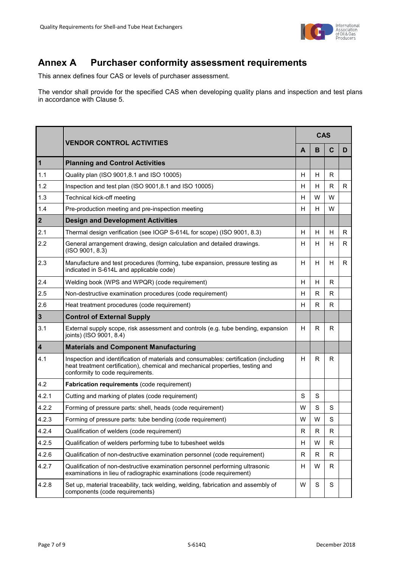

# <span id="page-8-0"></span>**Annex A Purchaser conformity assessment requirements**

This annex defines four CAS or levels of purchaser assessment.

The vendor shall provide for the specified CAS when developing quality plans and inspection and test plans in accordance with Clause 5.

|                         | <b>VENDOR CONTROL ACTIVITIES</b>                                                                                                                                                                           |    | <b>CAS</b>   |             |   |  |
|-------------------------|------------------------------------------------------------------------------------------------------------------------------------------------------------------------------------------------------------|----|--------------|-------------|---|--|
|                         |                                                                                                                                                                                                            |    |              | C           | D |  |
| $\mathbf{1}$            | <b>Planning and Control Activities</b>                                                                                                                                                                     |    |              |             |   |  |
| 1.1                     | Quality plan (ISO 9001,8.1 and ISO 10005)                                                                                                                                                                  | H  | H            | R           |   |  |
| 1.2                     | Inspection and test plan (ISO 9001,8.1 and ISO 10005)                                                                                                                                                      | H  | H            | R           | R |  |
| 1.3                     | Technical kick-off meeting                                                                                                                                                                                 | H  | W            | W           |   |  |
| 1.4                     | Pre-production meeting and pre-inspection meeting                                                                                                                                                          | H  | H            | W           |   |  |
| $\overline{\mathbf{2}}$ | <b>Design and Development Activities</b>                                                                                                                                                                   |    |              |             |   |  |
| 2.1                     | Thermal design verification (see IOGP S-614L for scope) (ISO 9001, 8.3)                                                                                                                                    | H  | H            | H           | R |  |
| 2.2                     | General arrangement drawing, design calculation and detailed drawings.<br>(ISO 9001, 8.3)                                                                                                                  |    | H            | H           | R |  |
| 2.3                     | Manufacture and test procedures (forming, tube expansion, pressure testing as<br>indicated in S-614L and applicable code)                                                                                  |    | H            | H           | R |  |
| 2.4                     | Welding book (WPS and WPQR) (code requirement)                                                                                                                                                             | H  | H            | R           |   |  |
| 2.5                     | Non-destructive examination procedures (code requirement)                                                                                                                                                  |    | R            | R           |   |  |
| 2.6                     | Heat treatment procedures (code requirement)                                                                                                                                                               | H  | R            | R           |   |  |
| $\mathbf{3}$            | <b>Control of External Supply</b>                                                                                                                                                                          |    |              |             |   |  |
| 3.1                     | External supply scope, risk assessment and controls (e.g. tube bending, expansion<br>joints) (ISO 9001, 8.4)                                                                                               | H  | $\mathsf{R}$ | R           |   |  |
| $\overline{\mathbf{4}}$ | <b>Materials and Component Manufacturing</b>                                                                                                                                                               |    |              |             |   |  |
| 4.1                     | Inspection and identification of materials and consumables: certification (including<br>heat treatment certification), chemical and mechanical properties, testing and<br>conformity to code requirements. |    | R            | R           |   |  |
| 4.2                     | Fabrication requirements (code requirement)                                                                                                                                                                |    |              |             |   |  |
| 4.2.1                   | Cutting and marking of plates (code requirement)                                                                                                                                                           |    | S            |             |   |  |
| 4.2.2                   | Forming of pressure parts: shell, heads (code requirement)                                                                                                                                                 |    | S            | S           |   |  |
| 4.2.3                   | Forming of pressure parts: tube bending (code requirement)                                                                                                                                                 |    | W            | S           |   |  |
| 4.2.4                   | Qualification of welders (code requirement)                                                                                                                                                                |    | к            | к           |   |  |
| 4.2.5                   | Qualification of welders performing tube to tubesheet welds                                                                                                                                                |    | W            | R           |   |  |
| 4.2.6                   | Qualification of non-destructive examination personnel (code requirement)                                                                                                                                  | R. | R            | R           |   |  |
| 4.2.7                   | Qualification of non-destructive examination personnel performing ultrasonic<br>examinations in lieu of radiographic examinations (code requirement)                                                       |    | W            | R           |   |  |
| 4.2.8                   | Set up, material traceability, tack welding, welding, fabrication and assembly of<br>components (code requirements)                                                                                        |    | S            | $\mathbf S$ |   |  |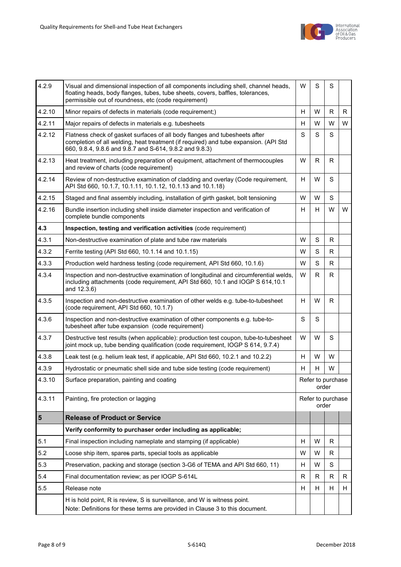

| 4.2.9  | Visual and dimensional inspection of all components including shell, channel heads,<br>floating heads, body flanges, tubes, tube sheets, covers, baffles, tolerances,<br>permissible out of roundness, etc (code requirement) |                            | S | S  |    |
|--------|-------------------------------------------------------------------------------------------------------------------------------------------------------------------------------------------------------------------------------|----------------------------|---|----|----|
| 4.2.10 | Minor repairs of defects in materials (code requirement;)                                                                                                                                                                     |                            |   | R. | R. |
| 4.2.11 | Major repairs of defects in materials e.g. tubesheets                                                                                                                                                                         |                            |   | W  | W  |
| 4.2.12 | Flatness check of gasket surfaces of all body flanges and tubesheets after<br>completion of all welding, heat treatment (if required) and tube expansion. (API Std<br>660, 9.8.4, 9.8.6 and 9.8.7 and S-614, 9.8.2 and 9.8.3) |                            |   |    |    |
| 4.2.13 | Heat treatment, including preparation of equipment, attachment of thermocouples<br>and review of charts (code requirement)                                                                                                    |                            |   | R  |    |
| 4.2.14 | Review of non-destructive examination of cladding and overlay (Code requirement,<br>API Std 660, 10.1.7, 10.1.11, 10.1.12, 10.1.13 and 10.1.18)                                                                               |                            |   |    |    |
| 4.2.15 | Staged and final assembly including, installation of girth gasket, bolt tensioning                                                                                                                                            | W                          | W | S  |    |
| 4.2.16 | Bundle insertion including shell inside diameter inspection and verification of<br>complete bundle components                                                                                                                 |                            |   | W  | W  |
| 4.3    | Inspection, testing and verification activities (code requirement)                                                                                                                                                            |                            |   |    |    |
| 4.3.1  | Non-destructive examination of plate and tube raw materials                                                                                                                                                                   | W                          | S | R  |    |
| 4.3.2  | Ferrite testing (API Std 660, 10.1.14 and 10.1.15)                                                                                                                                                                            | W                          | S | R  |    |
| 4.3.3  | Production weld hardness testing (code requirement, API Std 660, 10.1.6)                                                                                                                                                      |                            | S | R. |    |
| 4.3.4  | Inspection and non-destructive examination of longitudinal and circumferential welds,<br>including attachments (code requirement, API Std 660, 10.1 and IOGP S 614,10.1<br>and 12.3.6)                                        |                            | R | R  |    |
| 4.3.5  | Inspection and non-destructive examination of other welds e.g. tube-to-tubesheet<br>(code requirement, API Std 660, 10.1.7)                                                                                                   |                            | W | R  |    |
| 4.3.6  | Inspection and non-destructive examination of other components e.g. tube-to-<br>tubesheet after tube expansion (code requirement)                                                                                             |                            | S |    |    |
| 4.3.7  | Destructive test results (when applicable): production test coupon, tube-to-tubesheet<br>joint mock up, tube bending qualification (code requirement, IOGP S 614, 9.7.4)                                                      |                            | W | S  |    |
| 4.3.8  | Leak test (e.g. helium leak test, if applicable, API Std 660, 10.2.1 and 10.2.2)                                                                                                                                              | н                          | W | W  |    |
| 4.3.9  | Hydrostatic or pneumatic shell side and tube side testing (code requirement)                                                                                                                                                  | H                          | H | W  |    |
| 4.3.10 | Surface preparation, painting and coating                                                                                                                                                                                     | Refer to purchase<br>order |   |    |    |
| 4.3.11 | Painting, fire protection or lagging<br>Refer to purchase<br>order                                                                                                                                                            |                            |   |    |    |
| 5      | <b>Release of Product or Service</b>                                                                                                                                                                                          |                            |   |    |    |
|        | Verify conformity to purchaser order including as applicable;                                                                                                                                                                 |                            |   |    |    |
| 5.1    | Final inspection including nameplate and stamping (if applicable)                                                                                                                                                             |                            | W | R  |    |
| 5.2    | Loose ship item, spares parts, special tools as applicable                                                                                                                                                                    |                            | W | R  |    |
| 5.3    | Preservation, packing and storage (section 3-G6 of TEMA and API Std 660, 11)                                                                                                                                                  |                            | W | S  |    |
| 5.4    | Final documentation review; as per IOGP S-614L                                                                                                                                                                                |                            | R | R  | R. |
| 5.5    | Release note                                                                                                                                                                                                                  |                            | н | н  | H  |
|        | H is hold point, R is review, S is surveillance, and W is witness point.<br>Note: Definitions for these terms are provided in Clause 3 to this document.                                                                      |                            |   |    |    |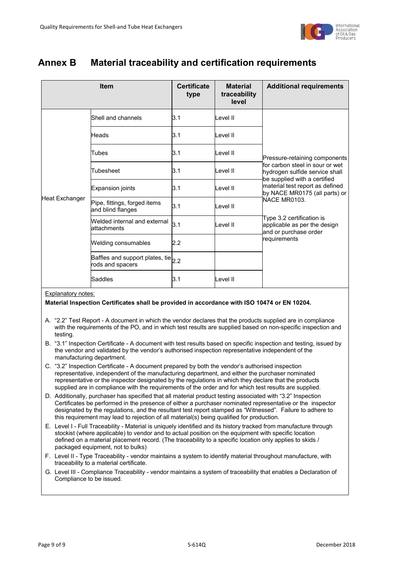

# <span id="page-10-0"></span>**Annex B Material traceability and certification requirements**

| <b>Item</b>    |                                                               | <b>Certificate</b><br>type | <b>Material</b><br>traceability<br>level | <b>Additional requirements</b>                                                                   |
|----------------|---------------------------------------------------------------|----------------------------|------------------------------------------|--------------------------------------------------------------------------------------------------|
|                | Shell and channels                                            | 3.1                        | I evel II                                |                                                                                                  |
|                | Heads                                                         | 3.1                        | Level II                                 |                                                                                                  |
|                | Tubes                                                         | 3.1                        | Level II                                 | Pressure-retaining components                                                                    |
|                | Tubesheet                                                     | 3.1                        | Level II                                 | for carbon steel in sour or wet<br>hydrogen sulfide service shall                                |
|                | Expansion joints                                              | 3.1                        | Level II                                 | be supplied with a certified<br>material test report as defined<br>by NACE MR0175 (all parts) or |
| Heat Exchanger | Pipe, fittings, forged items<br>and blind flanges             | 3.1                        | Level II                                 | NACE MR0103.                                                                                     |
|                | Welded internal and external<br>lattachments                  | 3.1                        | Level II                                 | Type 3.2 certification is<br>applicable as per the design<br>and or purchase order               |
|                | Welding consumables                                           | 2.2                        |                                          | requirements                                                                                     |
|                | Baffles and support plates, tie $ _{2.2}$<br>rods and spacers |                            |                                          |                                                                                                  |
|                | Saddles                                                       | 3.1                        | Level II                                 |                                                                                                  |

#### Explanatory notes:

#### **Material Inspection Certificates shall be provided in accordance with ISO 10474 or EN 10204.**

- A. "2.2" Test Report A document in which the vendor declares that the products supplied are in compliance with the requirements of the PO, and in which test results are supplied based on non-specific inspection and testing.
- B. "3.1" Inspection Certificate A document with test results based on specific inspection and testing, issued by the vendor and validated by the vendor's authorised inspection representative independent of the manufacturing department.
- C. "3.2" Inspection Certificate A document prepared by both the vendor's authorised inspection representative, independent of the manufacturing department, and either the purchaser nominated representative or the inspector designated by the regulations in which they declare that the products supplied are in compliance with the requirements of the order and for which test results are supplied.
- D. Additionally, purchaser has specified that all material product testing associated with "3.2" Inspection Certificates be performed in the presence of either a purchaser nominated representative or the inspector designated by the regulations, and the resultant test report stamped as "Witnessed". Failure to adhere to this requirement may lead to rejection of all material(s) being qualified for production.
- E. Level I Full Traceability Material is uniquely identified and its history tracked from manufacture through stockist (where applicable) to vendor and to actual position on the equipment with specific location defined on a material placement record. (The traceability to a specific location only applies to skids / packaged equipment, not to bulks)
- F. Level II Type Traceability vendor maintains a system to identify material throughout manufacture, with traceability to a material certificate.
- G. Level III Compliance Traceability vendor maintains a system of traceability that enables a Declaration of Compliance to be issued.